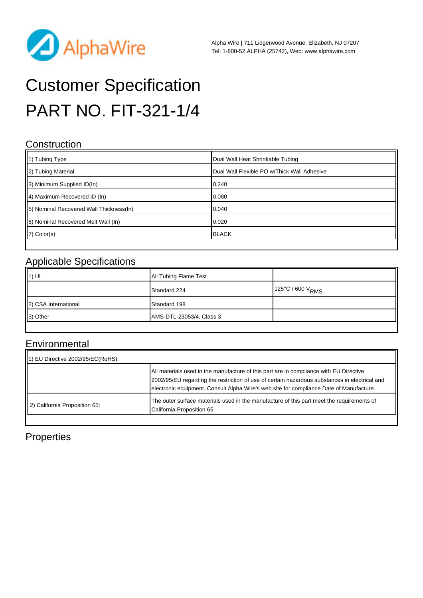

# Customer Specification PART NO. FIT-321-1/4

#### **Construction**

| 1) Tubing Type                           | Dual Wall Heat Shrinkable Tubing            |
|------------------------------------------|---------------------------------------------|
| 2) Tubing Material                       | Dual Wall Flexible PO w/Thick Wall Adhesive |
| 3) Minimum Supplied ID(In)               | 0.240                                       |
| 4) Maximum Recovered ID (In)             | 0.080                                       |
| [5] Nominal Recovered Wall Thickness(In) | 0.040                                       |
| 6) Nominal Recovered Melt Wall (In)      | 0.020                                       |
| $ 7\rangle$ Color(s)                     | <b>BLACK</b>                                |

### Applicable Specifications

| $\vert$ 1) UL        | All Tubing Flame Test    |                              |
|----------------------|--------------------------|------------------------------|
|                      | Standard 224             | 125°C / 600 V <sub>RMS</sub> |
| 2) CSA International | Standard 198             |                              |
| 3) Other             | AMS-DTL-23053/4, Class 3 |                              |
|                      |                          |                              |

## **Environmental**

| EU Directive 2002/95/EC(RoHS): |                                                                                                                                                                                                                                                                                    |
|--------------------------------|------------------------------------------------------------------------------------------------------------------------------------------------------------------------------------------------------------------------------------------------------------------------------------|
|                                | All materials used in the manufacture of this part are in compliance with EU Directive<br>2002/95/EU regarding the restriction of use of certain hazardous substances in electrical and<br>electronic equipment. Consult Alpha Wire's web site for compliance Date of Manufacture. |
| 2) California Proposition 65:  | The outer surface materials used in the manufacture of this part meet the requirements of<br>California Proposition 65.                                                                                                                                                            |

### Properties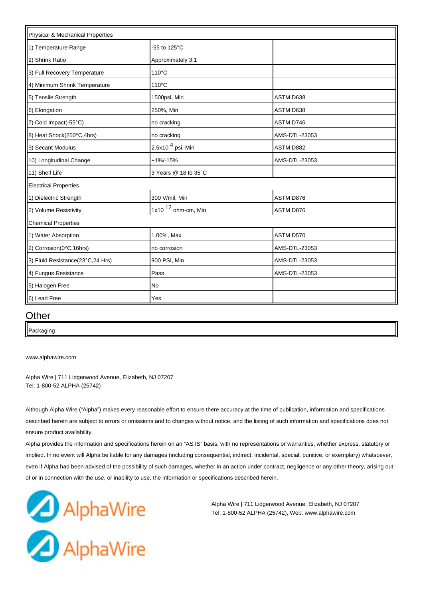| Physical & Mechanical Properties |                       |                  |  |
|----------------------------------|-----------------------|------------------|--|
| 1) Temperature Range             | -55 to 125°C          |                  |  |
| 2) Shrink Ratio                  | Approximately 3:1     |                  |  |
| 3) Full Recovery Temperature     | $110^{\circ}$ C       |                  |  |
| 4) Minimum Shrink Temperature    | 110°C                 |                  |  |
| 5) Tensile Strength              | 1500psi, Min          | ASTM D638        |  |
| 6) Elongation                    | 250%, Min             | ASTM D638        |  |
| 7) Cold Impact(-55°C)            | no cracking           | ASTM D746        |  |
| 8) Heat Shock(250°C,4hrs)        | no cracking           | AMS-DTL-23053    |  |
| 9) Secant Modulus                | 2.5x10 $4$ psi, Min   | ASTM D882        |  |
| 10) Longitudinal Change          | $+1\% - 15\%$         | AMS-DTL-23053    |  |
| 11) Shelf Life                   | 3 Years @ 18 to 35°C  |                  |  |
| <b>Electrical Properties</b>     |                       |                  |  |
| 1) Dielectric Strength           | 300 V/mil, Min        | <b>ASTM D876</b> |  |
| 2) Volume Resistivity            | 1x10 $12$ ohm-cm, Min | ASTM D876        |  |
| <b>Chemical Properties</b>       |                       |                  |  |
| 1) Water Absorption              | 1.00%, Max            | ASTM D570        |  |
| 2) Corrosion(0°C,16hrs)          | no corrosion          | AMS-DTL-23053    |  |
| 3) Fluid Resistance(23°C,24 Hrs) | 900 PSI, Min          | AMS-DTL-23053    |  |
| 4) Fungus Resistance             | Pass                  | AMS-DTL-23053    |  |
| 5) Halogen Free                  | No                    |                  |  |
| 6) Lead Free                     | Yes                   |                  |  |

#### **Other**

Packaging

[www.alphawire.com](http://www.alphawire.com)

Alpha Wire | 711 Lidgerwood Avenue, Elizabeth, NJ 07207 Tel: 1-800-52 ALPHA (25742)

Although Alpha Wire ("Alpha") makes every reasonable effort to ensure there accuracy at the time of publication, information and specifications described herein are subject to errors or omissions and to changes without notice, and the listing of such information and specifications does not ensure product availability.

Alpha provides the information and specifications herein on an "AS IS" basis, with no representations or warranties, whether express, statutory or implied. In no event will Alpha be liable for any damages (including consequential, indirect, incidental, special, punitive, or exemplary) whatsoever, even if Alpha had been advised of the possibility of such damages, whether in an action under contract, negligence or any other theory, arising out of or in connection with the use, or inability to use, the information or specifications described herein.



Alpha Wire | 711 Lidgerwood Avenue, Elizabeth, NJ 07207 Tel: 1-800-52 ALPHA (25742), Web: www.alphawire.com